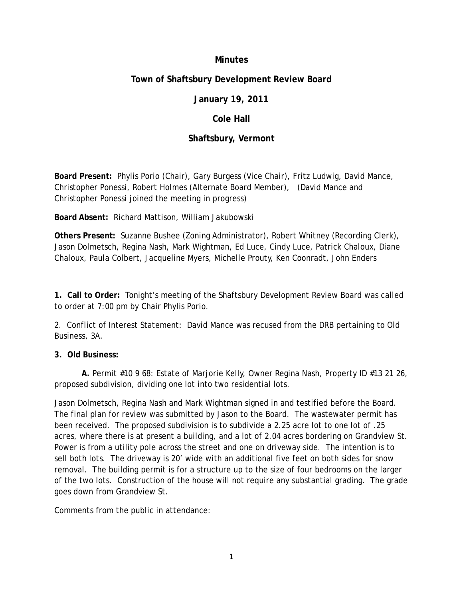### **Minutes**

# **Town of Shaftsbury Development Review Board**

# **January 19, 2011**

### **Cole Hall**

# **Shaftsbury, Vermont**

**Board Present:** Phylis Porio (Chair), Gary Burgess (Vice Chair), Fritz Ludwig, David Mance, Christopher Ponessi, Robert Holmes (Alternate Board Member), (David Mance and Christopher Ponessi joined the meeting in progress)

**Board Absent:** Richard Mattison, William Jakubowski

**Others Present:** Suzanne Bushee (Zoning Administrator), Robert Whitney (Recording Clerk), Jason Dolmetsch, Regina Nash, Mark Wightman, Ed Luce, Cindy Luce, Patrick Chaloux, Diane Chaloux, Paula Colbert, Jacqueline Myers, Michelle Prouty, Ken Coonradt, John Enders

**1. Call to Order:** Tonight's meeting of the Shaftsbury Development Review Board was called to order at 7:00 pm by Chair Phylis Porio.

2. Conflict of Interest Statement: David Mance was recused from the DRB pertaining to Old Business, 3A.

#### **3. Old Business:**

**A.** Permit #10 9 68: Estate of Marjorie Kelly, Owner Regina Nash, Property ID #13 21 26, proposed subdivision, dividing one lot into two residential lots.

Jason Dolmetsch, Regina Nash and Mark Wightman signed in and testified before the Board. The final plan for review was submitted by Jason to the Board. The wastewater permit has been received. The proposed subdivision is to subdivide a 2.25 acre lot to one lot of .25 acres, where there is at present a building, and a lot of 2.04 acres bordering on Grandview St. Power is from a utility pole across the street and one on driveway side. The intention is to sell both lots. The driveway is 20' wide with an additional five feet on both sides for snow removal. The building permit is for a structure up to the size of four bedrooms on the larger of the two lots. Construction of the house will not require any substantial grading. The grade goes down from Grandview St.

Comments from the public in attendance: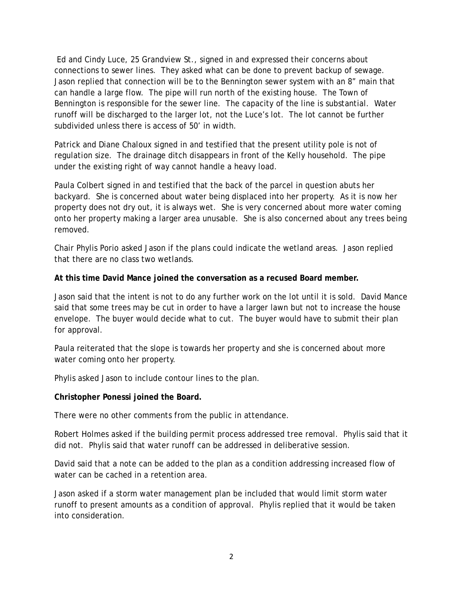Ed and Cindy Luce, 25 Grandview St., signed in and expressed their concerns about connections to sewer lines. They asked what can be done to prevent backup of sewage. Jason replied that connection will be to the Bennington sewer system with an 8" main that can handle a large flow. The pipe will run north of the existing house. The Town of Bennington is responsible for the sewer line. The capacity of the line is substantial. Water runoff will be discharged to the larger lot, not the Luce's lot. The lot cannot be further subdivided unless there is access of 50' in width.

Patrick and Diane Chaloux signed in and testified that the present utility pole is not of regulation size. The drainage ditch disappears in front of the Kelly household. The pipe under the existing right of way cannot handle a heavy load.

Paula Colbert signed in and testified that the back of the parcel in question abuts her backyard. She is concerned about water being displaced into her property. As it is now her property does not dry out, it is always wet. She is very concerned about more water coming onto her property making a larger area unusable. She is also concerned about any trees being removed.

Chair Phylis Porio asked Jason if the plans could indicate the wetland areas. Jason replied that there are no class two wetlands.

#### **At this time David Mance joined the conversation as a recused Board member.**

Jason said that the intent is not to do any further work on the lot until it is sold. David Mance said that some trees may be cut in order to have a larger lawn but not to increase the house envelope. The buyer would decide what to cut. The buyer would have to submit their plan for approval.

Paula reiterated that the slope is towards her property and she is concerned about more water coming onto her property.

Phylis asked Jason to include contour lines to the plan.

#### **Christopher Ponessi joined the Board.**

There were no other comments from the public in attendance.

Robert Holmes asked if the building permit process addressed tree removal. Phylis said that it did not. Phylis said that water runoff can be addressed in deliberative session.

David said that a note can be added to the plan as a condition addressing increased flow of water can be cached in a retention area.

Jason asked if a storm water management plan be included that would limit storm water runoff to present amounts as a condition of approval. Phylis replied that it would be taken into consideration.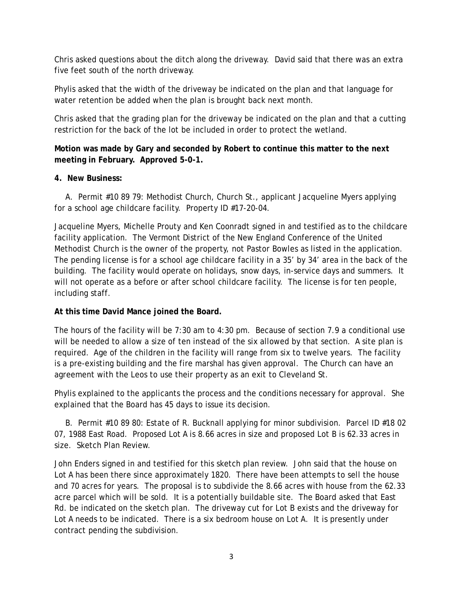Chris asked questions about the ditch along the driveway. David said that there was an extra five feet south of the north driveway.

Phylis asked that the width of the driveway be indicated on the plan and that language for water retention be added when the plan is brought back next month.

Chris asked that the grading plan for the driveway be indicated on the plan and that a cutting restriction for the back of the lot be included in order to protect the wetland.

# **Motion was made by Gary and seconded by Robert to continue this matter to the next meeting in February. Approved 5-0-1.**

# **4. New Business:**

A. Permit #10 89 79: Methodist Church, Church St., applicant Jacqueline Myers applying for a school age childcare facility. Property ID #17-20-04.

Jacqueline Myers, Michelle Prouty and Ken Coonradt signed in and testified as to the childcare facility application. The Vermont District of the New England Conference of the United Methodist Church is the owner of the property, not Pastor Bowles as listed in the application. The pending license is for a school age childcare facility in a 35' by 34' area in the back of the building. The facility would operate on holidays, snow days, in-service days and summers. It will not operate as a before or after school childcare facility. The license is for ten people, including staff.

# **At this time David Mance joined the Board.**

The hours of the facility will be 7:30 am to 4:30 pm. Because of section 7.9 a conditional use will be needed to allow a size of ten instead of the six allowed by that section. A site plan is required. Age of the children in the facility will range from six to twelve years. The facility is a pre-existing building and the fire marshal has given approval. The Church can have an agreement with the Leos to use their property as an exit to Cleveland St.

Phylis explained to the applicants the process and the conditions necessary for approval. She explained that the Board has 45 days to issue its decision.

B. Permit #10 89 80: Estate of R. Bucknall applying for minor subdivision. Parcel ID #18 02 07, 1988 East Road. Proposed Lot A is 8.66 acres in size and proposed Lot B is 62.33 acres in size. Sketch Plan Review.

John Enders signed in and testified for this sketch plan review. John said that the house on Lot A has been there since approximately 1820. There have been attempts to sell the house and 70 acres for years. The proposal is to subdivide the 8.66 acres with house from the 62.33 acre parcel which will be sold. It is a potentially buildable site. The Board asked that East Rd. be indicated on the sketch plan. The driveway cut for Lot B exists and the driveway for Lot A needs to be indicated. There is a six bedroom house on Lot A. It is presently under contract pending the subdivision.